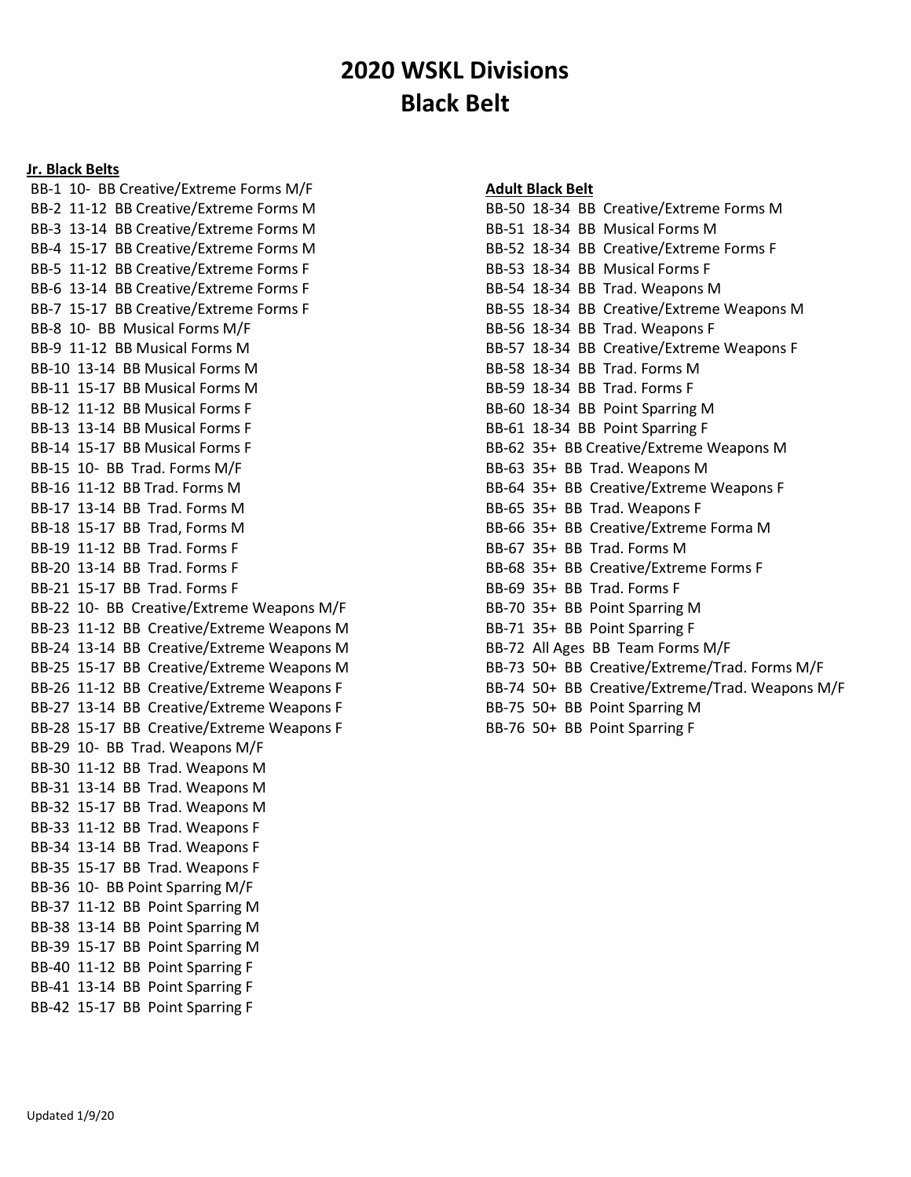## 2020 WSKL Divisions Black Belt

## Jr. Black Belts

 BB-1 10- BB Creative/Extreme Forms M/F BB-2 11-12 BB Creative/Extreme Forms M BB-3 13-14 BB Creative/Extreme Forms M BB-4 15-17 BB Creative/Extreme Forms M BB-5 11-12 BB Creative/Extreme Forms F BB-6 13-14 BB Creative/Extreme Forms F BB-7 15-17 BB Creative/Extreme Forms F BB-8 10- BB Musical Forms M/F BB-9 11-12 BB Musical Forms M BB-10 13-14 BB Musical Forms M BB-11 15-17 BB Musical Forms M BB-12 11-12 BB Musical Forms F BB-13 13-14 BB Musical Forms F BB-14 15-17 BB Musical Forms F BB-15 10- BB Trad. Forms M/F BB-16 11-12 BB Trad. Forms M BB-17 13-14 BB Trad. Forms M BB-18 15-17 BB Trad, Forms M BB-19 11-12 BB Trad. Forms F BB-20 13-14 BB Trad. Forms F BB-21 15-17 BB Trad. Forms F BB-22 10- BB Creative/Extreme Weapons M/F BB-23 11-12 BB Creative/Extreme Weapons M BB-24 13-14 BB Creative/Extreme Weapons M BB-25 15-17 BB Creative/Extreme Weapons M BB-26 11-12 BB Creative/Extreme Weapons F BB-27 13-14 BB Creative/Extreme Weapons F BB-28 15-17 BB Creative/Extreme Weapons F BB-29 10- BB Trad. Weapons M/F BB-30 11-12 BB Trad. Weapons M BB-31 13-14 BB Trad. Weapons M BB-32 15-17 BB Trad. Weapons M BB-33 11-12 BB Trad. Weapons F BB-34 13-14 BB Trad. Weapons F BB-35 15-17 BB Trad. Weapons F BB-36 10- BB Point Sparring M/F BB-37 11-12 BB Point Sparring M BB-38 13-14 BB Point Sparring M BB-39 15-17 BB Point Sparring M BB-40 11-12 BB Point Sparring F BB-41 13-14 BB Point Sparring F BB-42 15-17 BB Point Sparring F

## Adult Black Belt

| BB-50 18-34 BB Creative/Extreme Forms M                                                                                                                                                                                                                                                                                                                                              |
|--------------------------------------------------------------------------------------------------------------------------------------------------------------------------------------------------------------------------------------------------------------------------------------------------------------------------------------------------------------------------------------|
| BB-51 18-34 BB Musical Forms M                                                                                                                                                                                                                                                                                                                                                       |
| BB-52 18-34 BB Creative/Extreme Forms F                                                                                                                                                                                                                                                                                                                                              |
| BB-53 18-34 BB Musical Forms F                                                                                                                                                                                                                                                                                                                                                       |
| BB-54 18-34 BB Trad. Weapons M                                                                                                                                                                                                                                                                                                                                                       |
| BB-55 18-34 BB Creative/Extreme Weapons M                                                                                                                                                                                                                                                                                                                                            |
| BB-56 18-34 BB Trad. Weapons F                                                                                                                                                                                                                                                                                                                                                       |
| BB-57 18-34 BB Creative/Extreme Weapons F                                                                                                                                                                                                                                                                                                                                            |
| BB-58 18-34 BB Trad. Forms M                                                                                                                                                                                                                                                                                                                                                         |
| BB-59 18-34 BB Trad. Forms F                                                                                                                                                                                                                                                                                                                                                         |
| BB-60 18-34 BB Point Sparring M                                                                                                                                                                                                                                                                                                                                                      |
| BB-61 18-34 BB Point Sparring F                                                                                                                                                                                                                                                                                                                                                      |
| BB-62 35+ BB Creative/Extreme Weapons M                                                                                                                                                                                                                                                                                                                                              |
| BB-63 35+ BB Trad. Weapons M                                                                                                                                                                                                                                                                                                                                                         |
| BB-64 35+ BB Creative/Extreme Weapons F                                                                                                                                                                                                                                                                                                                                              |
| BB-65 35+ BB Trad. Weapons F                                                                                                                                                                                                                                                                                                                                                         |
| BB-66 35+ BB Creative/Extreme Forma M                                                                                                                                                                                                                                                                                                                                                |
| BB-67 35+ BB Trad. Forms M                                                                                                                                                                                                                                                                                                                                                           |
| BB-68 35+ BB Creative/Extreme Forms F                                                                                                                                                                                                                                                                                                                                                |
| BB-69 35+ BB Trad. Forms F                                                                                                                                                                                                                                                                                                                                                           |
| BB-70 35+ BB Point Sparring M                                                                                                                                                                                                                                                                                                                                                        |
| BB-71 35+ BB Point Sparring F                                                                                                                                                                                                                                                                                                                                                        |
| BB-72 All Ages BB Team Forms M/F                                                                                                                                                                                                                                                                                                                                                     |
| BB-73 50+ BB Creative/Extreme/Trad. Forms M/F                                                                                                                                                                                                                                                                                                                                        |
| BB-74 50+ BB Creative/Extreme/Trad. Weapons M/F                                                                                                                                                                                                                                                                                                                                      |
| BB-75 50+ BB Point Sparring M                                                                                                                                                                                                                                                                                                                                                        |
| $\overline{z}$ $\overline{z}$ $\overline{z}$ $\overline{z}$ $\overline{z}$ $\overline{z}$ $\overline{z}$ $\overline{z}$ $\overline{z}$ $\overline{z}$ $\overline{z}$ $\overline{z}$ $\overline{z}$ $\overline{z}$ $\overline{z}$ $\overline{z}$ $\overline{z}$ $\overline{z}$ $\overline{z}$ $\overline{z}$ $\overline{z}$ $\overline{z}$ $\overline{z}$ $\overline{z}$ $\overline{$ |

BB-76 50+ BB Point Sparring F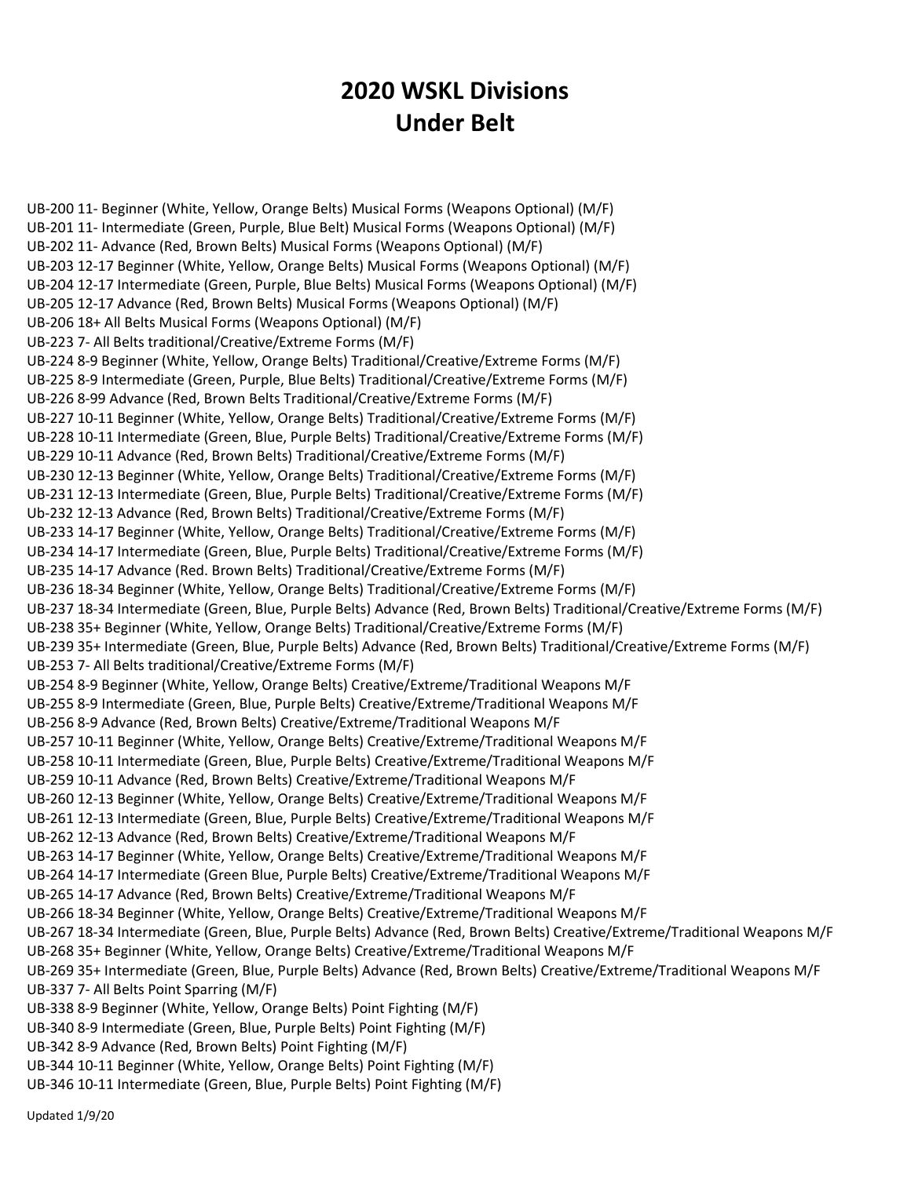## 2020 WSKL Divisions Under Belt

UB-200 11- Beginner (White, Yellow, Orange Belts) Musical Forms (Weapons Optional) (M/F) UB-201 11- Intermediate (Green, Purple, Blue Belt) Musical Forms (Weapons Optional) (M/F) UB-202 11- Advance (Red, Brown Belts) Musical Forms (Weapons Optional) (M/F) UB-203 12-17 Beginner (White, Yellow, Orange Belts) Musical Forms (Weapons Optional) (M/F) UB-204 12-17 Intermediate (Green, Purple, Blue Belts) Musical Forms (Weapons Optional) (M/F) UB-205 12-17 Advance (Red, Brown Belts) Musical Forms (Weapons Optional) (M/F) UB-206 18+ All Belts Musical Forms (Weapons Optional) (M/F) UB-223 7- All Belts traditional/Creative/Extreme Forms (M/F) UB-224 8-9 Beginner (White, Yellow, Orange Belts) Traditional/Creative/Extreme Forms (M/F) UB-225 8-9 Intermediate (Green, Purple, Blue Belts) Traditional/Creative/Extreme Forms (M/F) UB-226 8-99 Advance (Red, Brown Belts Traditional/Creative/Extreme Forms (M/F) UB-227 10-11 Beginner (White, Yellow, Orange Belts) Traditional/Creative/Extreme Forms (M/F) UB-228 10-11 Intermediate (Green, Blue, Purple Belts) Traditional/Creative/Extreme Forms (M/F) UB-229 10-11 Advance (Red, Brown Belts) Traditional/Creative/Extreme Forms (M/F) UB-230 12-13 Beginner (White, Yellow, Orange Belts) Traditional/Creative/Extreme Forms (M/F) UB-231 12-13 Intermediate (Green, Blue, Purple Belts) Traditional/Creative/Extreme Forms (M/F) Ub-232 12-13 Advance (Red, Brown Belts) Traditional/Creative/Extreme Forms (M/F) UB-233 14-17 Beginner (White, Yellow, Orange Belts) Traditional/Creative/Extreme Forms (M/F) UB-234 14-17 Intermediate (Green, Blue, Purple Belts) Traditional/Creative/Extreme Forms (M/F) UB-235 14-17 Advance (Red. Brown Belts) Traditional/Creative/Extreme Forms (M/F) UB-236 18-34 Beginner (White, Yellow, Orange Belts) Traditional/Creative/Extreme Forms (M/F) UB-237 18-34 Intermediate (Green, Blue, Purple Belts) Advance (Red, Brown Belts) Traditional/Creative/Extreme Forms (M/F) UB-238 35+ Beginner (White, Yellow, Orange Belts) Traditional/Creative/Extreme Forms (M/F) UB-239 35+ Intermediate (Green, Blue, Purple Belts) Advance (Red, Brown Belts) Traditional/Creative/Extreme Forms (M/F) UB-253 7- All Belts traditional/Creative/Extreme Forms (M/F) UB-254 8-9 Beginner (White, Yellow, Orange Belts) Creative/Extreme/Traditional Weapons M/F UB-255 8-9 Intermediate (Green, Blue, Purple Belts) Creative/Extreme/Traditional Weapons M/F UB-256 8-9 Advance (Red, Brown Belts) Creative/Extreme/Traditional Weapons M/F UB-257 10-11 Beginner (White, Yellow, Orange Belts) Creative/Extreme/Traditional Weapons M/F UB-258 10-11 Intermediate (Green, Blue, Purple Belts) Creative/Extreme/Traditional Weapons M/F UB-259 10-11 Advance (Red, Brown Belts) Creative/Extreme/Traditional Weapons M/F UB-260 12-13 Beginner (White, Yellow, Orange Belts) Creative/Extreme/Traditional Weapons M/F UB-261 12-13 Intermediate (Green, Blue, Purple Belts) Creative/Extreme/Traditional Weapons M/F UB-262 12-13 Advance (Red, Brown Belts) Creative/Extreme/Traditional Weapons M/F UB-263 14-17 Beginner (White, Yellow, Orange Belts) Creative/Extreme/Traditional Weapons M/F UB-264 14-17 Intermediate (Green Blue, Purple Belts) Creative/Extreme/Traditional Weapons M/F UB-265 14-17 Advance (Red, Brown Belts) Creative/Extreme/Traditional Weapons M/F UB-266 18-34 Beginner (White, Yellow, Orange Belts) Creative/Extreme/Traditional Weapons M/F UB-267 18-34 Intermediate (Green, Blue, Purple Belts) Advance (Red, Brown Belts) Creative/Extreme/Traditional Weapons M/F UB-268 35+ Beginner (White, Yellow, Orange Belts) Creative/Extreme/Traditional Weapons M/F UB-269 35+ Intermediate (Green, Blue, Purple Belts) Advance (Red, Brown Belts) Creative/Extreme/Traditional Weapons M/F UB-337 7- All Belts Point Sparring (M/F) UB-338 8-9 Beginner (White, Yellow, Orange Belts) Point Fighting (M/F) UB-340 8-9 Intermediate (Green, Blue, Purple Belts) Point Fighting (M/F) UB-342 8-9 Advance (Red, Brown Belts) Point Fighting (M/F) UB-344 10-11 Beginner (White, Yellow, Orange Belts) Point Fighting (M/F)

UB-346 10-11 Intermediate (Green, Blue, Purple Belts) Point Fighting (M/F)